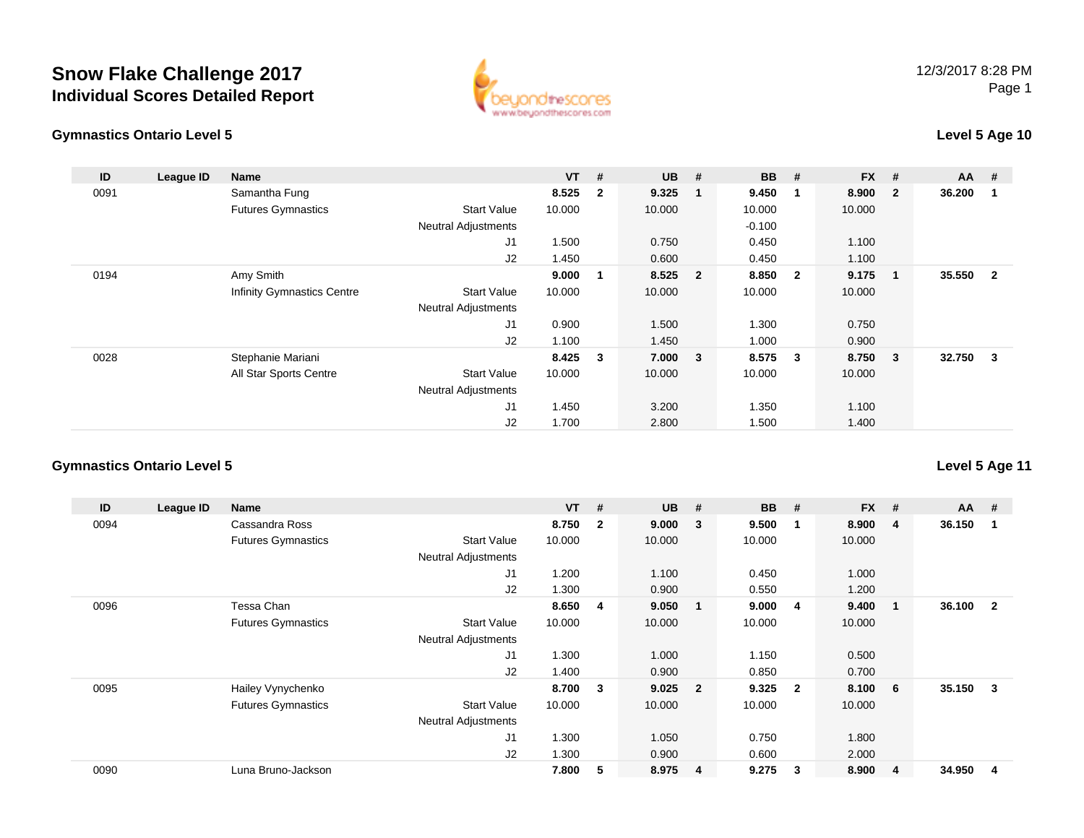

### **Gymnastics Ontario Level 5**

## **Level 5 Age 10**

| ID   | League ID | Name                              |                            | $VT$ # |                         | <b>UB</b> | #                       | <b>BB</b> | #                       | <b>FX</b> | #                       | AA     | -#             |
|------|-----------|-----------------------------------|----------------------------|--------|-------------------------|-----------|-------------------------|-----------|-------------------------|-----------|-------------------------|--------|----------------|
| 0091 |           | Samantha Fung                     |                            | 8.525  | $\overline{\mathbf{2}}$ | 9.325     |                         | 9.450     | $\overline{\mathbf{1}}$ | 8.900     | $\overline{\mathbf{2}}$ | 36.200 | -1             |
|      |           | <b>Futures Gymnastics</b>         | <b>Start Value</b>         | 10.000 |                         | 10.000    |                         | 10.000    |                         | 10.000    |                         |        |                |
|      |           |                                   | <b>Neutral Adjustments</b> |        |                         |           |                         | $-0.100$  |                         |           |                         |        |                |
|      |           |                                   | J1                         | 1.500  |                         | 0.750     |                         | 0.450     |                         | 1.100     |                         |        |                |
|      |           |                                   | J2                         | 1.450  |                         | 0.600     |                         | 0.450     |                         | 1.100     |                         |        |                |
| 0194 |           | Amy Smith                         |                            | 9.000  |                         | 8.525     | $\overline{\mathbf{2}}$ | 8.850     | $\overline{\mathbf{2}}$ | 9.175     | - 1                     | 35.550 | $\overline{2}$ |
|      |           | <b>Infinity Gymnastics Centre</b> | <b>Start Value</b>         | 10.000 |                         | 10.000    |                         | 10.000    |                         | 10.000    |                         |        |                |
|      |           |                                   | <b>Neutral Adjustments</b> |        |                         |           |                         |           |                         |           |                         |        |                |
|      |           |                                   | J1                         | 0.900  |                         | 1.500     |                         | 1.300     |                         | 0.750     |                         |        |                |
|      |           |                                   | J2                         | 1.100  |                         | 1.450     |                         | 1.000     |                         | 0.900     |                         |        |                |
| 0028 |           | Stephanie Mariani                 |                            | 8.425  | $\overline{\mathbf{3}}$ | 7.000     | $\mathbf{3}$            | 8.575     | $\mathbf{3}$            | 8.750     | $\overline{\mathbf{3}}$ | 32.750 | - 3            |
|      |           | All Star Sports Centre            | <b>Start Value</b>         | 10.000 |                         | 10.000    |                         | 10.000    |                         | 10.000    |                         |        |                |
|      |           |                                   | <b>Neutral Adjustments</b> |        |                         |           |                         |           |                         |           |                         |        |                |
|      |           |                                   | J <sub>1</sub>             | 1.450  |                         | 3.200     |                         | 1.350     |                         | 1.100     |                         |        |                |
|      |           |                                   | J2                         | 1.700  |                         | 2.800     |                         | 1.500     |                         | 1.400     |                         |        |                |

#### **Gymnastics Ontario Level 5Level 5 Age 11**

| ID   | League ID | Name                      |                            | <b>VT</b> | #                       | <b>UB</b> | #                       | <b>BB</b> | #                       | <b>FX</b> | #           | $AA$ # |                |
|------|-----------|---------------------------|----------------------------|-----------|-------------------------|-----------|-------------------------|-----------|-------------------------|-----------|-------------|--------|----------------|
| 0094 |           | Cassandra Ross            |                            | 8.750     | $\overline{\mathbf{2}}$ | 9.000     | -3                      | 9.500     | $\mathbf 1$             | 8.900     | 4           | 36.150 | 1              |
|      |           | <b>Futures Gymnastics</b> | <b>Start Value</b>         | 10.000    |                         | 10.000    |                         | 10.000    |                         | 10.000    |             |        |                |
|      |           |                           | <b>Neutral Adjustments</b> |           |                         |           |                         |           |                         |           |             |        |                |
|      |           |                           | J <sub>1</sub>             | 1.200     |                         | 1.100     |                         | 0.450     |                         | 1.000     |             |        |                |
|      |           |                           | J2                         | 1.300     |                         | 0.900     |                         | 0.550     |                         | 1.200     |             |        |                |
| 0096 |           | Tessa Chan                |                            | 8.650     | -4                      | 9.050     | $\overline{\mathbf{1}}$ | 9.000     | -4                      | 9.400     | $\mathbf 1$ | 36.100 | $\overline{2}$ |
|      |           | <b>Futures Gymnastics</b> | <b>Start Value</b>         | 10.000    |                         | 10.000    |                         | 10.000    |                         | 10.000    |             |        |                |
|      |           |                           | <b>Neutral Adjustments</b> |           |                         |           |                         |           |                         |           |             |        |                |
|      |           |                           | J <sub>1</sub>             | 1.300     |                         | 1.000     |                         | 1.150     |                         | 0.500     |             |        |                |
|      |           |                           | J2                         | 1.400     |                         | 0.900     |                         | 0.850     |                         | 0.700     |             |        |                |
| 0095 |           | Hailey Vynychenko         |                            | 8.700     | $\mathbf{3}$            | 9.025     | $\overline{\mathbf{2}}$ | 9.325     | $\overline{\mathbf{2}}$ | 8.100     | 6           | 35.150 | 3              |
|      |           | <b>Futures Gymnastics</b> | <b>Start Value</b>         | 10.000    |                         | 10.000    |                         | 10.000    |                         | 10.000    |             |        |                |
|      |           |                           | <b>Neutral Adjustments</b> |           |                         |           |                         |           |                         |           |             |        |                |
|      |           |                           | J1                         | 1.300     |                         | 1.050     |                         | 0.750     |                         | 1.800     |             |        |                |
|      |           |                           | J2                         | 1.300     |                         | 0.900     |                         | 0.600     |                         | 2.000     |             |        |                |
| 0090 |           | Luna Bruno-Jackson        |                            | 7.800     | 5                       | 8.975     | 4                       | 9.275     | 3                       | 8.900     | 4           | 34.950 | 4              |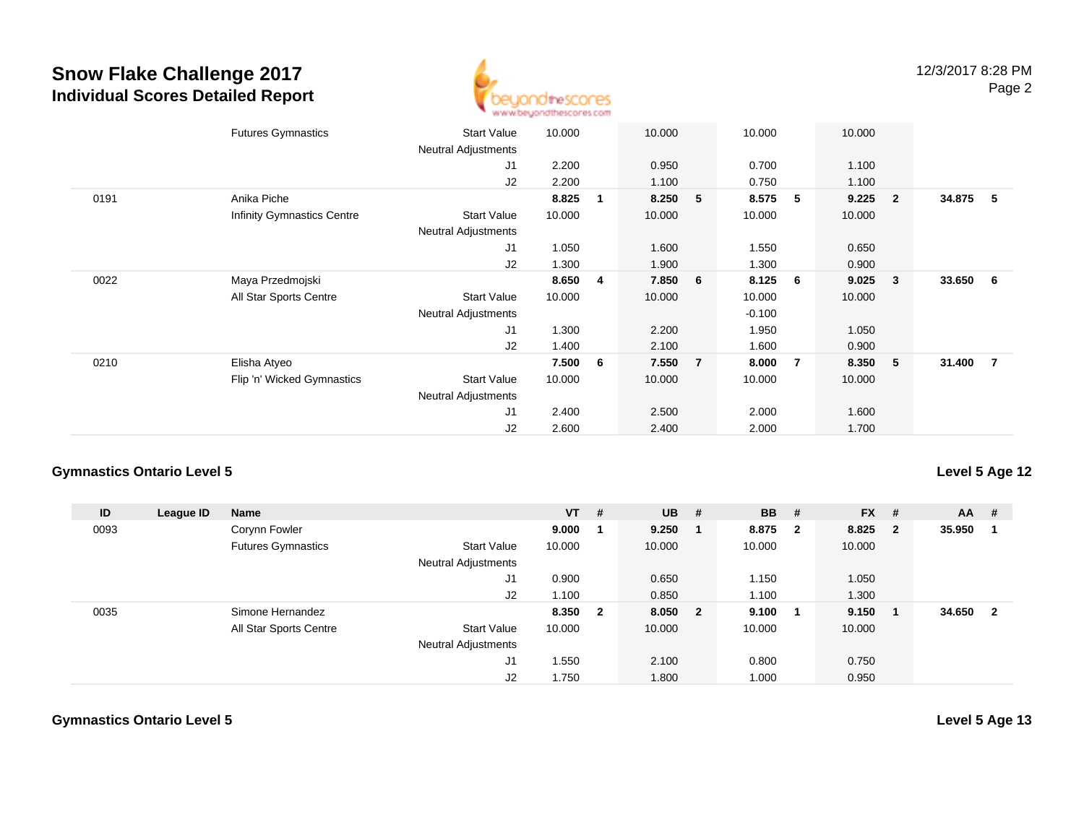

|      | <b>Futures Gymnastics</b>  | <b>Start Value</b><br><b>Neutral Adjustments</b> | 10.000 |             | 10.000 |                | 10.000   |                | 10.000 |                |          |   |
|------|----------------------------|--------------------------------------------------|--------|-------------|--------|----------------|----------|----------------|--------|----------------|----------|---|
|      |                            | J1                                               | 2.200  |             | 0.950  |                | 0.700    |                | 1.100  |                |          |   |
|      |                            | J2                                               | 2.200  |             | 1.100  |                | 0.750    |                | 1.100  |                |          |   |
| 0191 | Anika Piche                |                                                  | 8.825  | $\mathbf 1$ | 8.250  | 5              | 8.575    | 5              | 9.225  | $\overline{2}$ | 34.875   | 5 |
|      | Infinity Gymnastics Centre | <b>Start Value</b>                               | 10.000 |             | 10.000 |                | 10.000   |                | 10.000 |                |          |   |
|      |                            | Neutral Adjustments                              |        |             |        |                |          |                |        |                |          |   |
|      |                            | J1                                               | 1.050  |             | 1.600  |                | 1.550    |                | 0.650  |                |          |   |
|      |                            | J2                                               | 1.300  |             | 1.900  |                | 1.300    |                | 0.900  |                |          |   |
| 0022 | Maya Przedmojski           |                                                  | 8.650  | 4           | 7.850  | 6              | 8.125    | 6              | 9.025  | $\mathbf{3}$   | 33.650 6 |   |
|      | All Star Sports Centre     | <b>Start Value</b>                               | 10.000 |             | 10.000 |                | 10.000   |                | 10.000 |                |          |   |
|      |                            | <b>Neutral Adjustments</b>                       |        |             |        |                | $-0.100$ |                |        |                |          |   |
|      |                            | J <sub>1</sub>                                   | 1.300  |             | 2.200  |                | 1.950    |                | 1.050  |                |          |   |
|      |                            | J2                                               | 1.400  |             | 2.100  |                | 1.600    |                | 0.900  |                |          |   |
| 0210 | Elisha Atyeo               |                                                  | 7.500  | 6           | 7.550  | $\overline{7}$ | 8.000    | $\overline{7}$ | 8.350  | 5              | 31.400 7 |   |
|      | Flip 'n' Wicked Gymnastics | <b>Start Value</b>                               | 10.000 |             | 10.000 |                | 10.000   |                | 10.000 |                |          |   |
|      |                            | <b>Neutral Adjustments</b>                       |        |             |        |                |          |                |        |                |          |   |
|      |                            | J1                                               | 2.400  |             | 2.500  |                | 2.000    |                | 1.600  |                |          |   |
|      |                            | J <sub>2</sub>                                   | 2.600  |             | 2.400  |                | 2.000    |                | 1.700  |                |          |   |
|      |                            |                                                  |        |             |        |                |          |                |        |                |          |   |

### **Gymnastics Ontario Level 5**

**Level 5 Age 12**

| ID   | League ID | <b>Name</b>               |                            | $VT$ # |                         | <b>UB</b> | #                       | <b>BB</b> | #            | $FX$ # |                         | <b>AA</b> | - #                     |
|------|-----------|---------------------------|----------------------------|--------|-------------------------|-----------|-------------------------|-----------|--------------|--------|-------------------------|-----------|-------------------------|
| 0093 |           | Corynn Fowler             |                            | 9.000  |                         | 9.250     |                         | 8.875     | $\mathbf{2}$ | 8.825  | $\overline{\mathbf{2}}$ | 35.950    |                         |
|      |           | <b>Futures Gymnastics</b> | <b>Start Value</b>         | 10.000 |                         | 10.000    |                         | 10.000    |              | 10.000 |                         |           |                         |
|      |           |                           | <b>Neutral Adjustments</b> |        |                         |           |                         |           |              |        |                         |           |                         |
|      |           |                           | J1                         | 0.900  |                         | 0.650     |                         | 1.150     |              | 1.050  |                         |           |                         |
|      |           |                           | J2                         | 1.100  |                         | 0.850     |                         | 1.100     |              | 1.300  |                         |           |                         |
| 0035 |           | Simone Hernandez          |                            | 8.350  | $\overline{\mathbf{2}}$ | 8.050     | $\overline{\mathbf{2}}$ | 9.100     |              | 9.150  |                         | 34.650    | $\overline{\mathbf{2}}$ |
|      |           | All Star Sports Centre    | <b>Start Value</b>         | 10.000 |                         | 10.000    |                         | 10.000    |              | 10.000 |                         |           |                         |
|      |           |                           | <b>Neutral Adjustments</b> |        |                         |           |                         |           |              |        |                         |           |                         |
|      |           |                           | J1                         | 1.550  |                         | 2.100     |                         | 0.800     |              | 0.750  |                         |           |                         |
|      |           |                           | J2                         | 1.750  |                         | 1.800     |                         | 1.000     |              | 0.950  |                         |           |                         |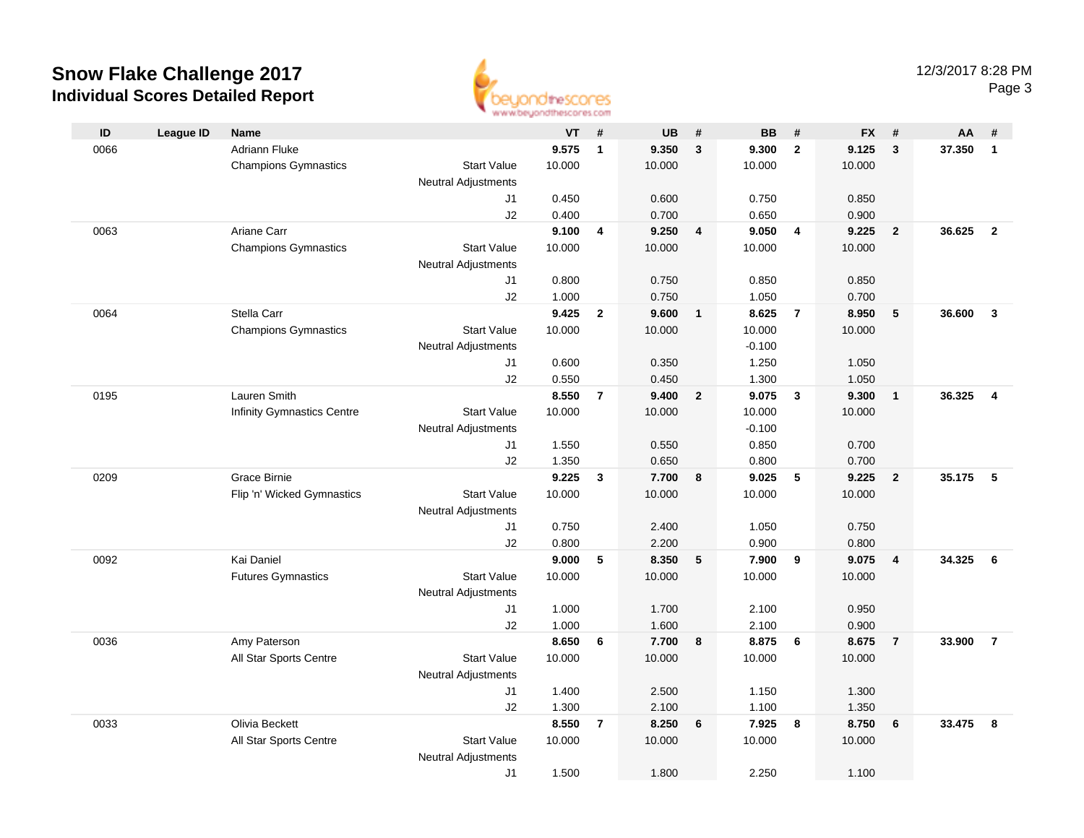

**ID League ID Name VT # UB # BB # FX # AA #** 0066 Adriann Fluke **9.575 <sup>1</sup> 9.350 <sup>3</sup> 9.300 <sup>2</sup> 9.125 <sup>3</sup> 37.350 <sup>1</sup>** Champions Gymnastics Start Valuee 10.000 10.000 10.000 10.000 Neutral Adjustments J1 0.450 0.600 0.750 0.850 J2 0.400 0.700 0.650 0.900 0063 Ariane Carr **9.100 <sup>4</sup> 9.250 <sup>4</sup> 9.050 <sup>4</sup> 9.225 <sup>2</sup> 36.625 <sup>2</sup>** Champions Gymnastics Start Valuee 10.000 10.000 10.000 10.000 Neutral Adjustments J1 0.800 0.750 0.850 0.850 J2 1.000 0.750 1.050 0.700 0064 Stella Carr **9.425 <sup>2</sup> 9.600 <sup>1</sup> 8.625 <sup>7</sup> 8.950 <sup>5</sup> 36.600 <sup>3</sup>** Champions Gymnastics Start Valuee 10.000 10.000 10.000 10.000 Neutral Adjustments $\sim$  -0.100 1.250 J1 0.600 0.350 1.250 1.050 J2 0.550 0.450 1.300 1.050 0195 Lauren Smith **8.550 <sup>7</sup> 9.400 <sup>2</sup> 9.075 <sup>3</sup> 9.300 <sup>1</sup> 36.325 <sup>4</sup>** Infinity Gymnastics Centre Start Value 10.000 10.000 10.000 10.000 Neutral Adjustments $\sim$  -0.100 0.850 J1 1.550 0.550 0.850 0.700 J2 1.350 0.650 0.800 0.700 0209 Grace Birnie **9.225 <sup>3</sup> 7.700 <sup>8</sup> 9.025 <sup>5</sup> 9.225 <sup>2</sup> 35.175 <sup>5</sup>** Flip 'n' Wicked Gymnastics Start Valuee 10.000 10.000 10.000 10.000 Neutral Adjustments J1 0.750 2.400 1.050 0.750 J2 0.800 2.200 0.900 0.800 0092 Kai Daniel **9.000 <sup>5</sup> 8.350 <sup>5</sup> 7.900 <sup>9</sup> 9.075 <sup>4</sup> 34.325 <sup>6</sup>** Futures Gymnastics Start Valuee 10.000 10.000 10.000 10.000 Neutral Adjustments J1 1.000 1.700 2.100 0.950 J2 1.000 1.600 2.100 0.900 0036 Amy Paterson **8.650 <sup>6</sup> 7.700 <sup>8</sup> 8.875 <sup>6</sup> 8.675 <sup>7</sup> 33.900 <sup>7</sup>** All Star Sports Centre Start Value 10.000 10.000 10.000 10.000 Neutral Adjustments J1 1.400 2.500 1.150 1.300 J2 1.300 2.100 1.100 1.350 0033 Olivia Beckett **8.550 <sup>7</sup> 8.250 <sup>6</sup> 7.925 <sup>8</sup> 8.750 <sup>6</sup> 33.475 <sup>8</sup>** All Star Sports Centre Start Value 10.000 10.000 10.000 10.000 Neutral Adjustments J11.500 1.800 2.250 1.100